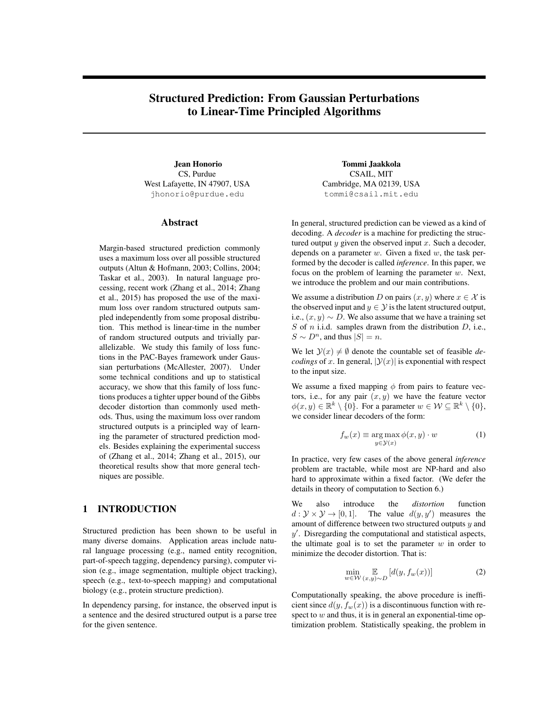# Structured Prediction: From Gaussian Perturbations to Linear-Time Principled Algorithms

Jean Honorio CS, Purdue West Lafayette, IN 47907, USA jhonorio@purdue.edu

## Abstract

Margin-based structured prediction commonly uses a maximum loss over all possible structured outputs (Altun & Hofmann, 2003; Collins, 2004; Taskar et al., 2003). In natural language processing, recent work (Zhang et al., 2014; Zhang et al., 2015) has proposed the use of the maximum loss over random structured outputs sampled independently from some proposal distribution. This method is linear-time in the number of random structured outputs and trivially parallelizable. We study this family of loss functions in the PAC-Bayes framework under Gaussian perturbations (McAllester, 2007). Under some technical conditions and up to statistical accuracy, we show that this family of loss functions produces a tighter upper bound of the Gibbs decoder distortion than commonly used methods. Thus, using the maximum loss over random structured outputs is a principled way of learning the parameter of structured prediction models. Besides explaining the experimental success of (Zhang et al., 2014; Zhang et al., 2015), our theoretical results show that more general techniques are possible.

## 1 INTRODUCTION

Structured prediction has been shown to be useful in many diverse domains. Application areas include natural language processing (e.g., named entity recognition, part-of-speech tagging, dependency parsing), computer vision (e.g., image segmentation, multiple object tracking), speech (e.g., text-to-speech mapping) and computational biology (e.g., protein structure prediction).

In dependency parsing, for instance, the observed input is a sentence and the desired structured output is a parse tree for the given sentence.

Tommi Jaakkola CSAIL, MIT Cambridge, MA 02139, USA tommi@csail.mit.edu

In general, structured prediction can be viewed as a kind of decoding. A *decoder* is a machine for predicting the structured output  $y$  given the observed input  $x$ . Such a decoder, depends on a parameter  $w$ . Given a fixed  $w$ , the task performed by the decoder is called *inference*. In this paper, we focus on the problem of learning the parameter  $w$ . Next, we introduce the problem and our main contributions.

We assume a distribution D on pairs  $(x, y)$  where  $x \in \mathcal{X}$  is the observed input and  $y \in \mathcal{Y}$  is the latent structured output, i.e.,  $(x, y) \sim D$ . We also assume that we have a training set S of  $n$  i.i.d. samples drawn from the distribution  $D$ , i.e.,  $S \sim D^n$ , and thus  $|S| = n$ .

We let  $\mathcal{Y}(x) \neq \emptyset$  denote the countable set of feasible *decodings* of x. In general,  $|\mathcal{Y}(x)|$  is exponential with respect to the input size.

We assume a fixed mapping  $\phi$  from pairs to feature vectors, i.e., for any pair  $(x, y)$  we have the feature vector  $\phi(x, y) \in \mathbb{R}^k \setminus \{0\}$ . For a parameter  $w \in \mathcal{W} \subseteq \mathbb{R}^k \setminus \{0\}$ , we consider linear decoders of the form:

$$
f_w(x) \equiv \arg\max_{y \in \mathcal{Y}(x)} \phi(x, y) \cdot w \tag{1}
$$

In practice, very few cases of the above general *inference* problem are tractable, while most are NP-hard and also hard to approximate within a fixed factor. (We defer the details in theory of computation to Section 6.)

We also introduce the *distortion* function  $d: \mathcal{Y} \times \mathcal{Y} \rightarrow [0, 1].$  The value  $d(y, y')$  measures the amount of difference between two structured outputs u and amount of difference between two structured outputs  $y$  and  $y'$ . Disregarding the computational and statistical aspects, the ultimate goal is to set the parameter  $w$  in order to minimize the decoder distortion. That is:

$$
\min_{w \in \mathcal{W}} \mathop{\mathbb{E}}_{(x,y) \sim D} \left[ d(y, f_w(x)) \right] \tag{2}
$$

Computationally speaking, the above procedure is inefficient since  $d(y, f_w(x))$  is a discontinuous function with respect to  $w$  and thus, it is in general an exponential-time optimization problem. Statistically speaking, the problem in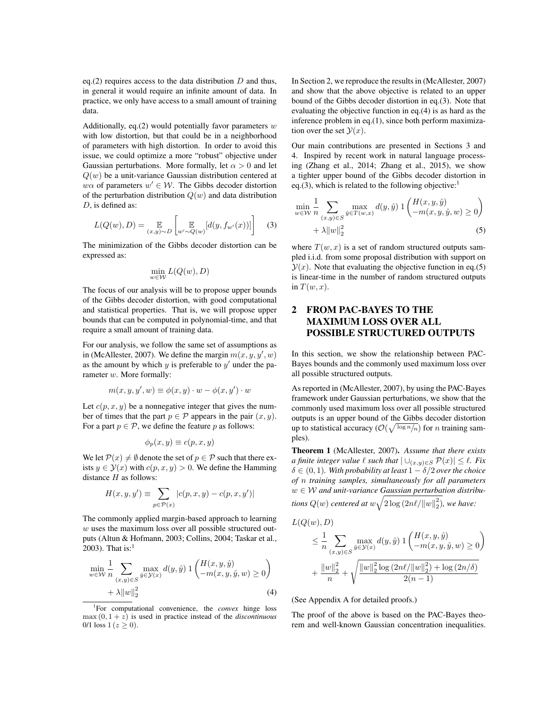eq.(2) requires access to the data distribution  $D$  and thus, in general it would require an infinite amount of data. In practice, we only have access to a small amount of training data.

Additionally, eq.(2) would potentially favor parameters  $w$ with low distortion, but that could be in a neighborhood of parameters with high distortion. In order to avoid this issue, we could optimize a more "robust" objective under Gaussian perturbations. More formally, let  $\alpha > 0$  and let  $Q(w)$  be a unit-variance Gaussian distribution centered at  $w\alpha$  of parameters  $w' \in W$ . The Gibbs decoder distortion of the perturbation distribution  $Q(w)$  and data distribution D, is defined as:

$$
L(Q(w), D) = \mathop{\mathbb{E}}_{(x,y)\sim D} \left[ \mathop{\mathbb{E}}_{w'\sim Q(w)}[d(y, f_{w'}(x))]\right]
$$
 (3)

The minimization of the Gibbs decoder distortion can be expressed as:

$$
\min_{w \in \mathcal{W}} L(Q(w), D)
$$

The focus of our analysis will be to propose upper bounds of the Gibbs decoder distortion, with good computational and statistical properties. That is, we will propose upper bounds that can be computed in polynomial-time, and that require a small amount of training data.

For our analysis, we follow the same set of assumptions as in (McAllester, 2007). We define the margin  $m(x, y, y', w)$ <br>as the amount by which u is preferable to u' under the paas the amount by which  $y$  is preferable to  $y'$  under the parameter w. More formally:

$$
m(x, y, y', w) \equiv \phi(x, y) \cdot w - \phi(x, y') \cdot w
$$

Let  $c(p, x, y)$  be a nonnegative integer that gives the number of times that the part  $p \in \mathcal{P}$  appears in the pair  $(x, y)$ . For a part  $p \in \mathcal{P}$ , we define the feature p as follows:

$$
\phi_p(x,y)\equiv c(p,x,y)
$$

We let  $\mathcal{P}(x) \neq \emptyset$  denote the set of  $p \in \mathcal{P}$  such that there exists  $y \in \mathcal{Y}(x)$  with  $c(p, x, y) > 0$ . We define the Hamming distance  $H$  as follows:

$$
H(x, y, y') \equiv \sum_{p \in \mathcal{P}(x)} |c(p, x, y) - c(p, x, y')|
$$

The commonly applied margin-based approach to learning  $w$  uses the maximum loss over all possible structured outputs (Altun & Hofmann, 2003; Collins, 2004; Taskar et al., 2003). That is: $1$ 

$$
\min_{w \in \mathcal{W}} \frac{1}{n} \sum_{(x,y) \in S} \max_{\hat{y} \in \mathcal{Y}(x)} d(y,\hat{y}) \, 1 \left( \frac{H(x,y,\hat{y})}{-m(x,y,\hat{y},w)} \ge 0 \right) + \lambda ||w||_2^2 \tag{4}
$$

<sup>1</sup>For computational convenience, the *convex* hinge loss  $max(0, 1 + z)$  is used in practice instead of the *discontinuous* 0/1 loss  $1 (z \ge 0)$ .

In Section 2, we reproduce the results in (McAllester, 2007) and show that the above objective is related to an upper bound of the Gibbs decoder distortion in eq.(3). Note that evaluating the objective function in eq.(4) is as hard as the inference problem in eq.(1), since both perform maximization over the set  $\mathcal{Y}(x)$ .

Our main contributions are presented in Sections 3 and 4. Inspired by recent work in natural language processing (Zhang et al., 2014; Zhang et al., 2015), we show a tighter upper bound of the Gibbs decoder distortion in eq.(3), which is related to the following objective:<sup>1</sup>

$$
\min_{w \in \mathcal{W}} \frac{1}{n} \sum_{(x,y) \in S} \max_{\hat{y} \in T(w,x)} d(y,\hat{y}) \, 1 \left( \frac{H(x,y,\hat{y})}{-m(x,y,\hat{y},w)} \ge 0 \right) + \lambda \|w\|_2^2
$$
\n(5)

where  $T(w, x)$  is a set of random structured outputs sampled i.i.d. from some proposal distribution with support on  $y(x)$ . Note that evaluating the objective function in eq.(5) is linear-time in the number of random structured outputs in  $T(w, x)$ .

## 2 FROM PAC-BAYES TO THE MAXIMUM LOSS OVER ALL POSSIBLE STRUCTURED OUTPUTS

In this section, we show the relationship between PAC-Bayes bounds and the commonly used maximum loss over all possible structured outputs.

As reported in (McAllester, 2007), by using the PAC-Bayes framework under Gaussian perturbations, we show that the commonly used maximum loss over all possible structured outputs is an upper bound of the Gibbs decoder distortion up to statistical accuracy  $(\mathcal{O}(\sqrt{\log n/n}))$  for *n* training samples).

Theorem 1 (McAllester, 2007). *Assume that there exists a finite integer value*  $\ell$  *such that*  $|\cup_{(x,y)\in S} \mathcal{P}(x)| \leq \ell$ *. Fix*  $\delta \in (0,1)$ *. With probability at least*  $1 - \delta/2$  *over the choice of* n *training samples, simultaneously for all parameters* <sup>w</sup> ∈ W *and unit-variance Gaussian perturbation distributions*  $Q(w)$  *centered at*  $w\sqrt{2\log(2n\ell/\Vert w\Vert_2^2)}$ *, we have:* 

$$
L(Q(w), D)
$$
  
\n
$$
\leq \frac{1}{n} \sum_{(x,y)\in S} \max_{\hat{y}\in\mathcal{Y}(x)} d(y, \hat{y}) \, 1\left(\frac{H(x, y, \hat{y})}{-m(x, y, \hat{y}, w)} \geq 0\right)
$$
  
\n
$$
+ \frac{\|w\|_2^2}{n} + \sqrt{\frac{\|w\|_2^2 \log (2n\ell / \|w\|_2^2) + \log (2n/\delta)}{2(n-1)}}
$$

(See Appendix A for detailed proofs.)

The proof of the above is based on the PAC-Bayes theorem and well-known Gaussian concentration inequalities.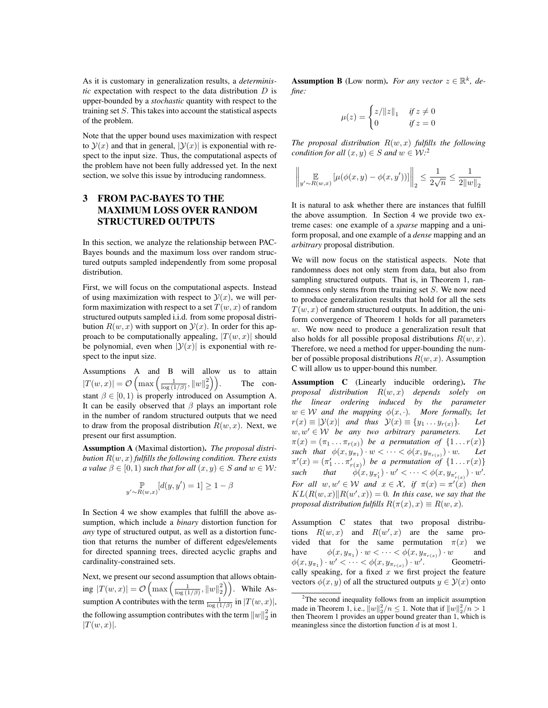As it is customary in generalization results, a *deterministic* expectation with respect to the data distribution D is upper-bounded by a *stochastic* quantity with respect to the training set S. This takes into account the statistical aspects of the problem.

Note that the upper bound uses maximization with respect to  $\mathcal{Y}(x)$  and that in general,  $|\mathcal{Y}(x)|$  is exponential with respect to the input size. Thus, the computational aspects of the problem have not been fully addressed yet. In the next section, we solve this issue by introducing randomness.

## 3 FROM PAC-BAYES TO THE MAXIMUM LOSS OVER RANDOM STRUCTURED OUTPUTS

In this section, we analyze the relationship between PAC-Bayes bounds and the maximum loss over random structured outputs sampled independently from some proposal distribution.

First, we will focus on the computational aspects. Instead of using maximization with respect to  $\mathcal{Y}(x)$ , we will perform maximization with respect to a set  $T(w, x)$  of random structured outputs sampled i.i.d. from some proposal distribution  $R(w, x)$  with support on  $\mathcal{Y}(x)$ . In order for this approach to be computationally appealing,  $|T(w, x)|$  should be polynomial, even when  $|\mathcal{Y}(x)|$  is exponential with respect to the input size.

Assumptions A and B will allow us to attain  $|T(w, x)| = \mathcal{O}\left(\max\left(\frac{1}{\log{(1/\beta)}}, ||w||_2^2\right)\right)$ stant  $\beta \in [0, 1)$  is proply introduced on Assumption A.<br>It can be easily observed that  $\beta$  plays an important role . The con-It can be easily observed that  $\beta$  plays an important role in the number of random structured outputs that we need to draw from the proposal distribution  $R(w, x)$ . Next, we present our first assumption.

Assumption A (Maximal distortion). *The proposal distribution* <sup>R</sup>(w, x) *fulfills the following condition. There exists a* value  $\beta \in [0, 1)$  *such that for all*  $(x, y) \in S$  *and*  $w \in W$ *:* 

$$
\mathbb{P}_{y' \sim R(w,x)}[d(y, y') = 1] \ge 1 - \beta
$$

In Section 4 we show examples that fulfill the above assumption, which include a *binary* distortion function for *any* type of structured output, as well as a distortion function that returns the number of different edges/elements for directed spanning trees, directed acyclic graphs and cardinality-constrained sets.

Next, we present our second assumption that allows obtaining  $|T(w, x)| = \mathcal{O}\left(\max\left(\frac{1}{\log(1/\beta)}, ||w||_2^2\right)\right)$ . While Assumption A contributes with the term  $\frac{1}{\log(1/\beta)}$  in  $|T(w, x)|$ , the following assumption contributes with the term  $||w||_2^2$  in  $|T(w, x)|$  $|T(w, x)|$ .

**Assumption B** (Low norm). *For any vector*  $z \in \mathbb{R}^k$ , *define:*

$$
\mu(z) = \begin{cases} z/\|z\|_1 & \text{if } z \neq 0 \\ 0 & \text{if } z = 0 \end{cases}
$$

*The proposal distribution* <sup>R</sup>(w, x) *fulfills the following condition for all*  $(x, y) \in S$  *and*  $w \in W$ <sup>2</sup>

$$
\left\| \mathop{\mathbb{E}}_{y' \sim R(w, x)} \left[ \mu(\phi(x, y) - \phi(x, y')) \right] \right\|_2 \le \frac{1}{2\sqrt{n}} \le \frac{1}{2\|w\|_2}
$$

It is natural to ask whether there are instances that fulfill the above assumption. In Section 4 we provide two extreme cases: one example of a *sparse* mapping and a uniform proposal, and one example of a *dense* mapping and an *arbitrary* proposal distribution.

We will now focus on the statistical aspects. Note that randomness does not only stem from data, but also from sampling structured outputs. That is, in Theorem 1, randomness only stems from the training set S. We now need to produce generalization results that hold for all the sets  $T(w, x)$  of random structured outputs. In addition, the uniform convergence of Theorem 1 holds for all parameters w. We now need to produce a generalization result that also holds for all possible proposal distributions  $R(w, x)$ . Therefore, we need a method for upper-bounding the number of possible proposal distributions  $R(w, x)$ . Assumption C will allow us to upper-bound this number.

Assumption C (Linearly inducible ordering). *The proposal distribution* <sup>R</sup>(w, x) *depends solely on the linear ordering induced by the parameter*  $w \in \mathcal{W}$  and the mapping  $\phi(x, \cdot)$ . More formally, let  $r(x) \equiv |\mathcal{Y}(x)|$  and thus  $\mathcal{Y}(x) \equiv \{y_1 \dots y_{r(x)}\}$ . Let  $r(x) \equiv |\mathcal{Y}(x)|$  and thus  $\mathcal{Y}(x) \equiv \{y_1 \dots y_{r(x)}\}$ . Let  $w, w' \in \mathcal{W}$  be any two arbitrary parameters. Let  $w, w' \in W$  *be any two arbitrary parameters.* Let  $\pi(x)=(\pi_1 \ldots \pi_{r(x)})$  *be a permutation of*  $\{1 \ldots r(x)\}$ <br>such that  $\phi(x, y_{\pi_1}) \cdot w < \cdots < \phi(x, y_{\pi_{r(x)}}) \cdot w$ . Let *such that*  $\phi(x, y_{\pi_1}) \cdot w < \cdots < \phi(x, y_{\pi_{r(x)}}) \cdot w$ . Let  $\pi'(x) = (\pi'_1 \dots \pi'_{r(x)})$  be a permutation of  $\{1 \dots r(x)\}$ *such that*  $\phi(x, y_{\pi'_1}) \cdot w' < \cdots < \phi(x, y_{\pi'_{r(x)}}) \cdot w'.$ *For all*  $w, w' \in W$  *and*  $x \in \mathcal{X}$ *, if*  $\pi(x) = \pi'(x)$  *then*  $KL(R(w, x) | R(w', x)) = 0$  *In this case we say that the*  $KL(R(w, x)||R(w', x)) = 0$ . In this case, we say that the *proposal distribution fulfills*  $R(\pi(x), x) \equiv R(w, x)$ .

Assumption C states that two proposal distributions  $R(w, x)$  and  $R(w', x)$  are the same pro-<br>vided that for the same permutation  $\pi(x)$  we vided that for the same permutation  $\pi(x)$  we<br>have  $\phi(x, y_{\pi_1}) \cdot w \lt \cdots \lt \phi(x, y_{\pi_{r(x)}}) \cdot w$  and have  $\phi(x, y_{\pi_1}) \cdot w < \cdots < \phi(x, y_{\pi_{r(x)}}) \cdot w$  and  $\phi(x, y_{\pi_1}, \ldots, y'_{\pi_{r(x)}}) \cdot w'$  fecometri- $\phi(x, y_{\pi_1}) \cdot w' \leq \cdots \leq \phi(x, y_{\pi_{r(x)}}) \cdot w'.$  Geometri-<br>cally speaking for a fixed x we first project the feature cally speaking, for a fixed  $x$  we first project the feature vectors  $\phi(x, y)$  of all the structured outputs  $y \in \mathcal{Y}(x)$  onto

<sup>&</sup>lt;sup>2</sup>The second inequality follows from an implicit assumption made in Theorem 1, i.e.,  $||w||_2^2/n \le 1$ . Note that if  $||w||_2^2/n > 1$ then Theorem 1 provides an upper bound greater than 1, which is meaningless since the distortion function  $d$  is at most 1.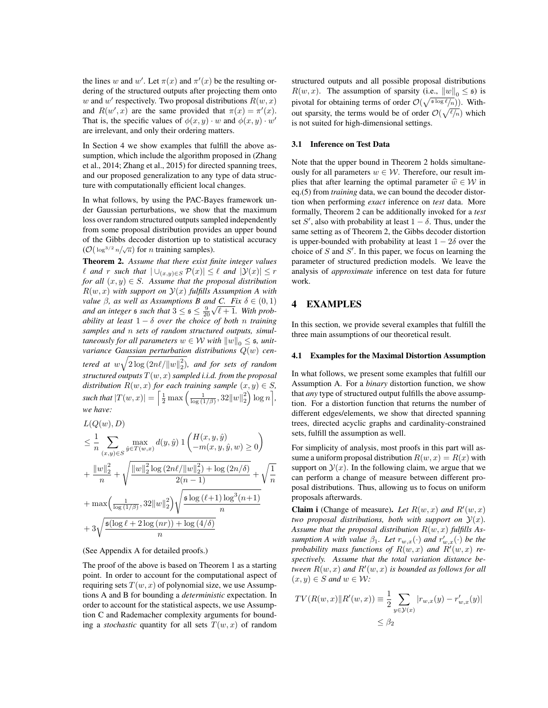the lines w and w'. Let  $\pi(x)$  and  $\pi'(x)$  be the resulting or-<br>dering of the structured outputs after projecting them onto dering of the structured outputs after projecting them onto w and w' respectively. Two proposal distributions  $R(w, x)$ <br>and  $R(w', x)$  are the same provided that  $\pi(x) = \pi'(x)$ and  $R(w', x)$  are the same provided that  $\pi(x) = \pi'(x)$ .<br>That is the specific values of  $\phi(x, w)$ , w and  $\phi(x, w)$ ,  $w'$ That is, the specific values of  $\phi(x, y) \cdot w$  and  $\phi(x, y) \cdot w'$ are irrelevant, and only their ordering matters.

In Section 4 we show examples that fulfill the above assumption, which include the algorithm proposed in (Zhang et al., 2014; Zhang et al., 2015) for directed spanning trees, and our proposed generalization to any type of data structure with computationally efficient local changes.

In what follows, by using the PAC-Bayes framework under Gaussian perturbations, we show that the maximum loss over random structured outputs sampled independently from some proposal distribution provides an upper bound of the Gibbs decoder distortion up to statistical accuracy  $(\mathcal{O}(\log^{3/2} n/\sqrt{n}))$  for *n* training samples).

Theorem 2. *Assume that there exist finite integer values l* and *r such that*  $| ∪_{(x,y)∈S} P(x)| ≤ l$  *and*  $|y(x)| ≤ r$ *for all*  $(x, y) \in S$ *. Assume that the proposal distribution*  $R(w, x)$  with support on  $\mathcal{Y}(x)$  fulfills Assumption A with *value*  $\beta$ *, as well as Assumptions B and C. Fix*  $\delta \in (0,1)$ *and an integer* s such that  $3 \leq s \leq \frac{9}{20} \sqrt{l+1}$ . With prob-<br>ability at least  $1 - \delta$  over the choice of both n training ability at least  $1 - \delta$  *over the choice of both* n *training*<br>samples and n sets of random structured outputs simul*samples and* n *sets of random structured outputs, simultaneously for all parameters*  $w \in \mathcal{W}$  *with*  $||w||_0 \leq \mathfrak{s}$ , *unitvariance Gaussian perturbation distributions* <sup>Q</sup>(w) *centered at*  $w\sqrt{2\log(2n\ell/\|w\|_2^2)}$ , and for sets of random *structured outputs* <sup>T</sup>(w, x) *sampled i.i.d. from the proposal distribution*  $R(w, x)$  *for each training sample*  $(x, y) \in S$ *, such that*  $|T(w, x)| = \left[\frac{1}{2} \max\left(\frac{1}{\log{(1/\beta)}}, 32\|w\|_2^2\right)\right]$  $\left(\frac{1}{\log n}\right]$ , *we have:*  $L(O(\omega), D)$ 

$$
\leq \frac{1}{n} \sum_{(x,y)\in S} \max_{\hat{y}\in T(w,x)} d(y,\hat{y}) \, 1\left(\frac{H(x,y,\hat{y})}{-m(x,y,\hat{y},w)} \geq 0\right) \n+ \frac{\|w\|_2^2}{n} + \sqrt{\frac{\|w\|_2^2 \log (2n\ell/\|w\|_2^2) + \log (2n/\delta)}{2(n-1)}} + \sqrt{\frac{1}{n}} \n+ \max\left(\frac{1}{\log(1/\beta)}, 32\|w\|_2^2\right) \sqrt{\frac{\mathfrak{s}\log(\ell+1)\log^3(n+1)}{n}} \n+ 3\sqrt{\frac{\mathfrak{s}(\log \ell + 2\log(nr)) + \log(4/\delta)}{n}}
$$

#### (See Appendix A for detailed proofs.)

The proof of the above is based on Theorem 1 as a starting point. In order to account for the computational aspect of requiring sets  $T(w, x)$  of polynomial size, we use Assumptions A and B for bounding a *deterministic* expectation. In order to account for the statistical aspects, we use Assumption C and Rademacher complexity arguments for bounding a *stochastic* quantity for all sets  $T(w, x)$  of random

structured outputs and all possible proposal distributions  $R(w, x)$ . The assumption of sparsity (i.e.,  $||w||_0 \leq \mathfrak{s}$ ) is pivotal for obtaining terms of order  $\mathcal{O}(\sqrt{\frac{s \log \ell}{n}})$ . Without sparsity, the terms would be of order  $\mathcal{O}(\sqrt{\ell/n})$  which<br>is not suited for high-dimensional settings is not suited for high-dimensional settings.

#### 3.1 Inference on Test Data

Note that the upper bound in Theorem 2 holds simultaneously for all parameters  $w \in \mathcal{W}$ . Therefore, our result implies that after learning the optimal parameter  $\hat{w} \in \mathcal{W}$  in eq.(5) from *training* data, we can bound the decoder distortion when performing *exact* inference on *test* data. More formally, Theorem 2 can be additionally invoked for a *test* set S', also with probability at least  $1 - \delta$ . Thus, under the same setting as of Theorem 2, the Gibbs decoder distortion same setting as of Theorem 2, the Gibbs decoder distortion is upper-bounded with probability at least  $1 - 2\delta$  over the choice of  $S$  and  $S'$ . In this paper, we focus on learning the parameter of structured prediction models. We leave the analysis of *approximate* inference on test data for future work.

## 4 EXAMPLES

In this section, we provide several examples that fulfill the three main assumptions of our theoretical result.

#### 4.1 Examples for the Maximal Distortion Assumption

In what follows, we present some examples that fulfill our Assumption A. For a *binary* distortion function, we show that *any* type of structured output fulfills the above assumption. For a distortion function that returns the number of different edges/elements, we show that directed spanning trees, directed acyclic graphs and cardinality-constrained sets, fulfill the assumption as well.

For simplicity of analysis, most proofs in this part will assume a uniform proposal distribution  $R(w, x) = R(x)$  with support on  $\mathcal{Y}(x)$ . In the following claim, we argue that we can perform a change of measure between different proposal distributions. Thus, allowing us to focus on uniform proposals afterwards.

**Claim i** (Change of measure). Let  $R(w, x)$  and  $R'(w, x)$ <br>two proposal distributions, both with support on  $\mathcal{Y}(x)$ . *two proposal distributions, both with support on*  $\mathcal{Y}(x)$ *. Assume that the proposal distribution* <sup>R</sup>(w, x) *fulfills Assumption A with value*  $\beta_1$ *. Let*  $r_{w,x}(\cdot)$  *and*  $r'_{w,x}(\cdot)$  *be the*<br>probability mass functions of  $B(w, x)$  and  $B'(w, x)$  reprobability mass functions of  $R(w, x)$  and  $R'(w, x)$  re-<br>spectively assume that the total variation distance be*spectively. Assume that the total variation distance between*  $R(w, x)$  *and*  $R'(w, x)$  *is bounded as follows for all*  $(x, y) \in S$  *and*  $w \in W$ .  $(x, y) \in S$  *and*  $w \in W$ *:* 

$$
TV(R(w, x) || R'(w, x)) \equiv \frac{1}{2} \sum_{y \in \mathcal{Y}(x)} |r_{w,x}(y) - r'_{w,x}(y)|
$$
  

$$
\leq \beta_2
$$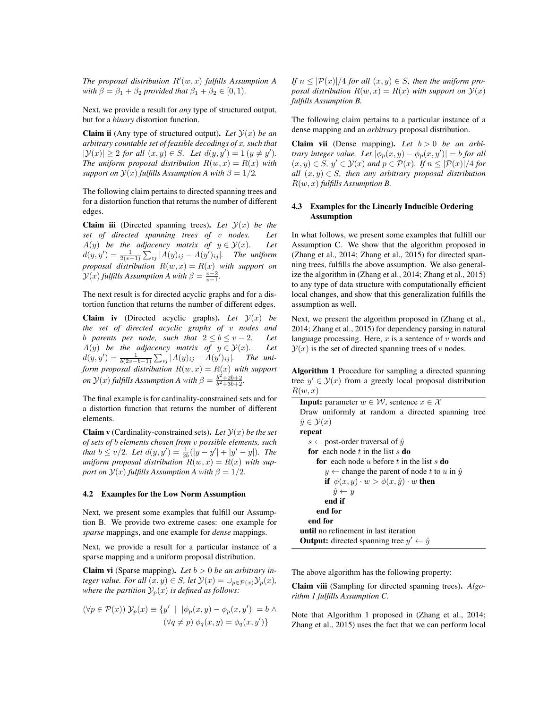*The proposal distribution*  $R'(w, x)$  *fulfills Assumption A* with  $\beta - \beta_2 + \beta_3$  *provided that*  $\beta_2 + \beta_3 \in [0, 1)$ *with*  $\beta = \beta_1 + \beta_2$  *provided that*  $\beta_1 + \beta_2 \in [0, 1)$ *.* 

Next, we provide a result for *any* type of structured output, but for a *binary* distortion function.

**Claim ii** (Any type of structured output). Let  $\mathcal{Y}(x)$  be an *arbitrary countable set of feasible decodings of* x*, such that*  $|\mathcal{Y}(x)| \geq 2$  *for all*  $(x, y) \in S$ *. Let*  $d(y, y') = 1$   $(y \neq y')$ *.*<br>The uniform proposal distribution  $R(y, x) = R(x)$  with *The uniform proposal distribution*  $R(w, x) = R(x)$  *with support on*  $\mathcal{Y}(x)$  *fulfills Assumption A with*  $\beta = 1/2$ *.* 

The following claim pertains to directed spanning trees and for a distortion function that returns the number of different edges.

**Claim iii** (Directed spanning trees). Let  $\mathcal{Y}(x)$  *be the* set of directed spanning trees of *y* nodes. Let *set of directed spanning trees of v nodes.* A(y) *be the adjacency matrix of*  $y \in \mathcal{Y}(x)$ *. Let*  $d(y, y') = \frac{1}{2(v-1)} \sum_{ij} |A(y)_{ij} - A(y')_{ij}|$ . The uniform *proposal distribution*  $R(w, x) = R(x)$  *with support on*  $\mathcal{Y}(x)$  *fulfills Assumption A with*  $\beta = \frac{v-2}{v-1}$ *.* 

The next result is for directed acyclic graphs and for a distortion function that returns the number of different edges.

**Claim iv** (Directed acyclic graphs). Let  $\mathcal{Y}(x)$  be *the set of directed acyclic graphs of* v *nodes and b* parents per node, such that  $2 \le b \le v - 2$ . Let  $A(y)$  be the adjacency matrix of  $y \in \mathcal{Y}(x)$ . Let  $A(y)$  *be the adjacency matrix of*  $y \in \mathcal{Y}(x)$ *.*  $d(y, y') = \frac{1}{b(2v - b - 1)} \sum_{i,j} |A(y)_{ij} - A(y')_{ij}|$ . The uni-<br>form proposed distribution  $P(w, z) = P(z)$  with support  $\begin{aligned} \n\mathcal{L}(y, y) &= b_{(2v-b-1)} \, \mathcal{L}_{ij} \, \text{and} \quad \mathcal{L}(y, y) \quad \text{and} \quad \mathcal{L}(y, y) \n\end{aligned}$ *on*  $\mathcal{Y}(x)$  *fulfills Assumption A with*  $\beta = \frac{b^2 + 2b + 2}{b^2 + 3b + 2}$ *.* 

The final example is for cardinality-constrained sets and for a distortion function that returns the number of different elements.

**Claim v** (Cardinality-constrained sets). Let  $\mathcal{Y}(x)$  be the set *of sets of* b *elements chosen from* v *possible elements, such that*  $b \le v/2$ *. Let*  $d(y, y') = \frac{1}{2b}(|y - y'| + |y' - y|)$ *. The*<br>*uniform proposal distribution*  $R(w, x) = R(x)$  with sup*uniform proposal distribution*  $R(w, x) = R(x)$  *with support on*  $\mathcal{Y}(x)$  *fulfills Assumption A with*  $\beta = 1/2$ *.* 

#### 4.2 Examples for the Low Norm Assumption

Next, we present some examples that fulfill our Assumption B. We provide two extreme cases: one example for *sparse* mappings, and one example for *dense* mappings.

Next, we provide a result for a particular instance of a sparse mapping and a uniform proposal distribution.

Claim vi (Sparse mapping). *Let* b > 0 *be an arbitrary integer value. For all*  $(x, y) \in S$ *, let*  $\mathcal{Y}(x) = \bigcup_{p \in \mathcal{P}(x)} \mathcal{Y}_p(x)$ *, where the partition*  $\mathcal{Y}_p(x)$  *is defined as follows:* 

$$
(\forall p \in \mathcal{P}(x)) \mathcal{Y}_p(x) \equiv \{y' \mid |\phi_p(x, y) - \phi_p(x, y')| = b \land (\forall q \neq p) \phi_q(x, y) = \phi_q(x, y')\}
$$

*If*  $n \leq |\mathcal{P}(x)|/4$  *for all*  $(x, y) \in S$ *, then the uniform proposal distribution*  $R(w, x) = R(x)$  *with support on*  $\mathcal{Y}(x)$ *fulfills Assumption B.*

The following claim pertains to a particular instance of a dense mapping and an *arbitrary* proposal distribution.

Claim vii (Dense mapping). Let  $b > 0$  be an arbi*trary integer value.* Let  $[\phi_p(x, y) - \phi_p(x, y')] = b$  *for all*<br>  $(x, y) \in S, y' \in \mathcal{Y}(x)$  and  $p \in \mathcal{P}(x)$ . If  $n \leq |\mathcal{P}(x)|/4$  for  $(x, y) \in S$ ,  $y' \in Y(x)$  and  $p \in P(x)$ . If  $n \leq |P(x)|/4$  for all  $(x, y) \in S$ , then any arbitrary proposal distribution *all*  $(x, y) \in S$ *, then any arbitrary proposal distribution* <sup>R</sup>(w, x) *fulfills Assumption B.*

### 4.3 Examples for the Linearly Inducible Ordering Assumption

In what follows, we present some examples that fulfill our Assumption C. We show that the algorithm proposed in (Zhang et al., 2014; Zhang et al., 2015) for directed spanning trees, fulfills the above assumption. We also generalize the algorithm in (Zhang et al., 2014; Zhang et al., 2015) to any type of data structure with computationally efficient local changes, and show that this generalization fulfills the assumption as well.

Next, we present the algorithm proposed in (Zhang et al., 2014; Zhang et al., 2015) for dependency parsing in natural language processing. Here,  $x$  is a sentence of  $v$  words and  $\mathcal{Y}(x)$  is the set of directed spanning trees of v nodes.

Algorithm 1 Procedure for sampling a directed spanning tree  $y' \in \mathcal{Y}(x)$  from a greedy local proposal distribution  $B(w, x)$  $R(w, x)$ 

```
Input: parameter w \in \mathcal{W}, sentence x \in \mathcal{X}Draw uniformly at random a directed spanning tree
\hat{y} \in \mathcal{Y}(x)repeat
   s \leftarrow post-order traversal of \hat{y}for each node t in the list s do
      for each node u before t in the list s do
         y \leftarrow change the parent of node t to u in \hat{y}if \phi(x, y) \cdot w > \phi(x, \hat{y}) \cdot w then
            \hat{y} \leftarrow yend if
      end for
   end for
until no refinement in last iteration
Output: directed spanning tree y' \leftarrow \hat{y}
```
The above algorithm has the following property:

Claim viii (Sampling for directed spanning trees). *Algorithm 1 fulfills Assumption C.*

Note that Algorithm 1 proposed in (Zhang et al., 2014; Zhang et al., 2015) uses the fact that we can perform local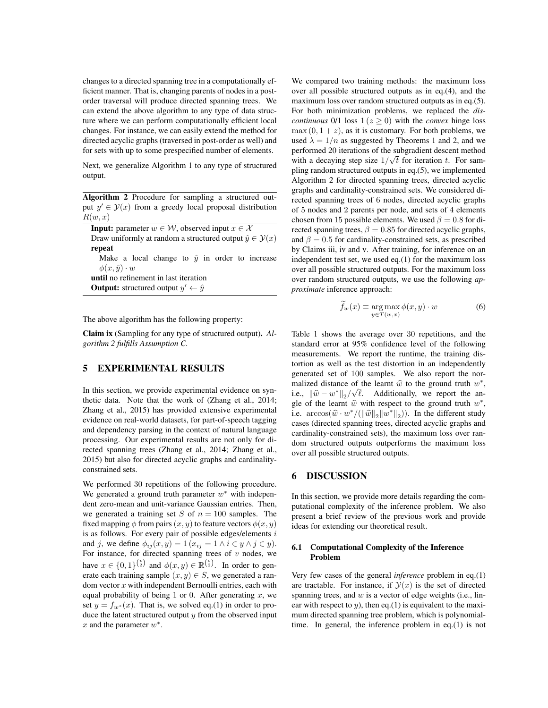changes to a directed spanning tree in a computationally efficient manner. That is, changing parents of nodes in a postorder traversal will produce directed spanning trees. We can extend the above algorithm to any type of data structure where we can perform computationally efficient local changes. For instance, we can easily extend the method for directed acyclic graphs (traversed in post-order as well) and for sets with up to some prespecified number of elements.

Next, we generalize Algorithm 1 to any type of structured output.

Algorithm 2 Procedure for sampling a structured output  $y' \in \mathcal{Y}(x)$  from a greedy local proposal distribution  $B(w, x)$  $R(w, x)$ 

| <b>Input:</b> parameter $w \in \mathcal{W}$ , observed input $x \in \mathcal{X}$ |  |  |  |  |  |  |  |
|----------------------------------------------------------------------------------|--|--|--|--|--|--|--|
| Draw uniformly at random a structured output $\hat{y} \in \mathcal{Y}(x)$        |  |  |  |  |  |  |  |
| repeat                                                                           |  |  |  |  |  |  |  |
| Make a local change to $\hat{y}$ in order to increase                            |  |  |  |  |  |  |  |
| $\phi(x,\hat{y})\cdot w$                                                         |  |  |  |  |  |  |  |
| until no refinement in last iteration                                            |  |  |  |  |  |  |  |
| <b>Output:</b> structured output $y' \leftarrow \hat{y}$                         |  |  |  |  |  |  |  |
|                                                                                  |  |  |  |  |  |  |  |

The above algorithm has the following property:

Claim ix (Sampling for any type of structured output). *Algorithm 2 fulfills Assumption C.*

## 5 EXPERIMENTAL RESULTS

In this section, we provide experimental evidence on synthetic data. Note that the work of (Zhang et al., 2014; Zhang et al., 2015) has provided extensive experimental evidence on real-world datasets, for part-of-speech tagging and dependency parsing in the context of natural language processing. Our experimental results are not only for directed spanning trees (Zhang et al., 2014; Zhang et al., 2015) but also for directed acyclic graphs and cardinalityconstrained sets.

We performed 30 repetitions of the following procedure. We generated a ground truth parameter  $w^*$  with independent zero-mean and unit-variance Gaussian entries. Then, we generated a training set S of  $n = 100$  samples. The fixed mapping  $\phi$  from pairs  $(x, y)$  to feature vectors  $\phi(x, y)$ is as follows. For every pair of possible edges/elements  $i$ and j, we define  $\phi_{ij}(x, y) = 1(x_{ij} = 1 \land i \in y \land j \in y)$ . For instance, for directed spanning trees of  $v$  nodes, we have  $x \in \{0,1\}^{(\frac{v}{2})}$  and  $\phi(x, y) \in \mathbb{R}^{(\frac{v}{2})}$ . In order to generate each training sample  $(x, y) \in S$  we generated a ranerate each training sample  $(x, y) \in S$ , we generated a random vector  $x$  with independent Bernoulli entries, each with equal probability of being 1 or 0. After generating  $x$ , we set  $y = f_{w^*}(x)$ . That is, we solved eq.(1) in order to produce the latent structured output  $y$  from the observed input  $x$  and the parameter  $w^*$ .

We compared two training methods: the maximum loss over all possible structured outputs as in eq.(4), and the maximum loss over random structured outputs as in eq.(5). For both minimization problems, we replaced the *discontinuous* 0/1 loss  $1(z \ge 0)$  with the *convex* hinge loss  $\max(0, 1+z)$ , as it is customary. For both problems, we used  $\lambda = 1/n$  as suggested by Theorems 1 and 2, and we performed 20 iterations of the subgradient descent method with a decaying step size  $1/\sqrt{t}$  for iteration t. For sam-<br>white a radom structured outputs in eq. (5), we implemented pling random structured outputs in eq.(5), we implemented Algorithm 2 for directed spanning trees, directed acyclic graphs and cardinality-constrained sets. We considered directed spanning trees of 6 nodes, directed acyclic graphs of 5 nodes and 2 parents per node, and sets of 4 elements chosen from 15 possible elements. We used  $\beta = 0.8$  for directed spanning trees,  $\beta = 0.85$  for directed acyclic graphs, and  $\beta = 0.5$  for cardinality-constrained sets, as prescribed by Claims iii, iv and v. After training, for inference on an independent test set, we used eq.(1) for the maximum loss over all possible structured outputs. For the maximum loss over random structured outputs, we use the following *approximate* inference approach:

$$
\widetilde{f}_w(x) \equiv \underset{y \in T(w,x)}{\arg \max} \phi(x,y) \cdot w \tag{6}
$$

Table 1 shows the average over 30 repetitions, and the standard error at 95% confidence level of the following measurements. We report the runtime, the training distortion as well as the test distortion in an independently generated set of 100 samples. We also report the normalized distance of the learnt  $\hat{w}$  to the ground truth  $w^*$ , i.e.,  $\|\hat{w} - w^*\|_2/\sqrt{\ell}$ . Additionally, we report the an-<br>sle of the learnt  $\hat{w}$  with respect to the ground truth  $w^*$ . gle of the learnt  $\hat{w}$  with respect to the ground truth  $w^*$ , i.e.  $\arccos(\hat{w} \cdot w^* / (\|\hat{w}\|_2 \|w^*\|_2))$ . In the different study cases (directed spanning trees, directed acyclic graphs and cardinality-constrained sets), the maximum loss over random structured outputs outperforms the maximum loss over all possible structured outputs.

## 6 DISCUSSION

In this section, we provide more details regarding the computational complexity of the inference problem. We also present a brief review of the previous work and provide ideas for extending our theoretical result.

#### 6.1 Computational Complexity of the Inference Problem

Very few cases of the general *inference* problem in eq.(1) are tractable. For instance, if  $\mathcal{Y}(x)$  is the set of directed spanning trees, and  $w$  is a vector of edge weights (i.e., linear with respect to  $y$ ), then eq.(1) is equivalent to the maximum directed spanning tree problem, which is polynomialtime. In general, the inference problem in eq.(1) is not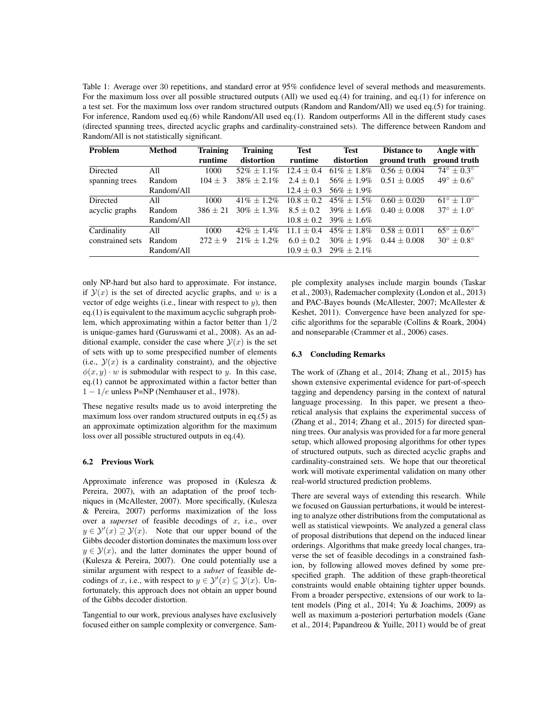Table 1: Average over 30 repetitions, and standard error at 95% confidence level of several methods and measurements. For the maximum loss over all possible structured outputs (All) we used eq.(4) for training, and eq.(1) for inference on a test set. For the maximum loss over random structured outputs (Random and Random/All) we used eq.(5) for training. For inference, Random used eq.(6) while Random/All used eq.(1). Random outperforms All in the different study cases (directed spanning trees, directed acyclic graphs and cardinality-constrained sets). The difference between Random and Random/All is not statistically significant.

| Problem          | <b>Method</b> | <b>Training</b><br>runtime | <b>Training</b><br>distortion | <b>Test</b><br>runtime | <b>Test</b><br>distortion | <b>Distance to</b><br>ground truth | Angle with<br>ground truth   |
|------------------|---------------|----------------------------|-------------------------------|------------------------|---------------------------|------------------------------------|------------------------------|
| Directed         | A11           | 1000                       | $52\% + 1.1\%$                | $12.4 + 0.4$           | $61\% + 1.8\%$            | $0.56 + 0.004$                     | $74^{\circ} + 0.3^{\circ}$   |
| spanning trees   | Random        | $104 \pm 3$                | $38\% + 2.1\%$                | $2.4 + 0.1$            | $56\% \pm 1.9\%$          | $0.51 + 0.005$                     | $49^{\circ} + 0.6^{\circ}$   |
|                  | Random/All    |                            |                               | $12.4 + 0.3$           | $56\% + 1.9\%$            |                                    |                              |
| Directed         | A11           | 1000                       | $41\% + 1.2\%$                | $10.8 + 0.2$           | $45\% + 1.5\%$            | $0.60 + 0.020$                     | $61^{\circ} + 1.0^{\circ}$   |
| acyclic graphs   | Random        | $386 + 21$                 | $30\% + 1.3\%$                | $8.5 + 0.2$            | $39\% + 1.6\%$            | $0.40 + 0.008$                     | $37^{\circ} + 1.0^{\circ}$   |
|                  | Random/All    |                            |                               | $10.8 + 0.2$           | $39\% + 1.6\%$            |                                    |                              |
| Cardinality      | All           | 1000                       | $42\% + 1.4\%$                | $11.1 + 0.4$           | $45\% + 1.8\%$            | $0.58 + 0.011$                     | $65^{\circ} \pm 0.6^{\circ}$ |
| constrained sets | Random        | $272 + 9$                  | $21\% + 1.2\%$                | $6.0 + 0.2$            | $30\% \pm 1.9\%$          | $0.44 + 0.008$                     | $30^{\circ} + 0.8^{\circ}$   |
|                  | Random/All    |                            |                               | $10.9 + 0.3$           | $29\% + 2.1\%$            |                                    |                              |

only NP-hard but also hard to approximate. For instance, if  $\mathcal{Y}(x)$  is the set of directed acyclic graphs, and w is a vector of edge weights (i.e., linear with respect to  $y$ ), then eq.(1) is equivalent to the maximum acyclic subgraph problem, which approximating within a factor better than 1/2 is unique-games hard (Guruswami et al., 2008). As an additional example, consider the case where  $\mathcal{Y}(x)$  is the set of sets with up to some prespecified number of elements (i.e.,  $\mathcal{Y}(x)$  is a cardinality constraint), and the objective  $\phi(x, y) \cdot w$  is submodular with respect to y. In this case, eq.(1) cannot be approximated within a factor better than  $1 - 1/e$  unless P=NP (Nemhauser et al., 1978).

These negative results made us to avoid interpreting the maximum loss over random structured outputs in eq.(5) as an approximate optimization algorithm for the maximum loss over all possible structured outputs in eq.(4).

#### 6.2 Previous Work

Approximate inference was proposed in (Kulesza & Pereira, 2007), with an adaptation of the proof techniques in (McAllester, 2007). More specifically, (Kulesza & Pereira, 2007) performs maximization of the loss over a *superset* of feasible decodings of x, i.e., over  $y \in \mathcal{Y}'(x) \supseteq \mathcal{Y}(x)$ . Note that our upper bound of the Gibbs decoder distortion dominates the maximum loss over Gibbs decoder distortion dominates the maximum loss over  $y \in \mathcal{Y}(x)$ , and the latter dominates the upper bound of (Kulesza & Pereira, 2007). One could potentially use a similar argument with respect to a *subset* of feasible decodings of x, i.e., with respect to  $y \in \mathcal{Y}'(x) \subseteq \mathcal{Y}(x)$ . Un-<br>fortunately this approach does not obtain an upper bound fortunately, this approach does not obtain an upper bound of the Gibbs decoder distortion.

Tangential to our work, previous analyses have exclusively focused either on sample complexity or convergence. Sample complexity analyses include margin bounds (Taskar et al., 2003), Rademacher complexity (London et al., 2013) and PAC-Bayes bounds (McAllester, 2007; McAllester & Keshet, 2011). Convergence have been analyzed for specific algorithms for the separable (Collins & Roark, 2004) and nonseparable (Crammer et al., 2006) cases.

### 6.3 Concluding Remarks

The work of (Zhang et al., 2014; Zhang et al., 2015) has shown extensive experimental evidence for part-of-speech tagging and dependency parsing in the context of natural language processing. In this paper, we present a theoretical analysis that explains the experimental success of (Zhang et al., 2014; Zhang et al., 2015) for directed spanning trees. Our analysis was provided for a far more general setup, which allowed proposing algorithms for other types of structured outputs, such as directed acyclic graphs and cardinality-constrained sets. We hope that our theoretical work will motivate experimental validation on many other real-world structured prediction problems.

There are several ways of extending this research. While we focused on Gaussian perturbations, it would be interesting to analyze other distributions from the computational as well as statistical viewpoints. We analyzed a general class of proposal distributions that depend on the induced linear orderings. Algorithms that make greedy local changes, traverse the set of feasible decodings in a constrained fashion, by following allowed moves defined by some prespecified graph. The addition of these graph-theoretical constraints would enable obtaining tighter upper bounds. From a broader perspective, extensions of our work to latent models (Ping et al., 2014; Yu & Joachims, 2009) as well as maximum a-posteriori perturbation models (Gane et al., 2014; Papandreou & Yuille, 2011) would be of great